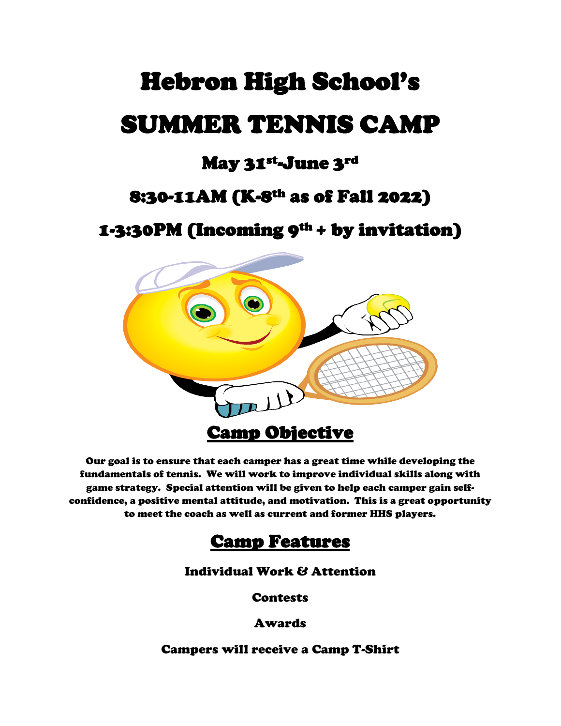# Hebron High School's SUMMER TENNIS CAMP

### May 31st-June 3rd

### 8:30-11AM (K-8th as of Fall 2022)

1-3:30PM (Incoming 9th + by invitation)



Our goal is to ensure that each camper has a great time while developing the fundamentals of tennis. We will work to improve individual skills along with game strategy. Special attention will be given to help each camper gain selfconfidence, a positive mental attitude, and motivation. This is a great opportunity to meet the coach as well as current and former HHS players.

#### Camp Features

#### Individual Work & Attention

**Contests** 

Awards

Campers will receive a Camp T-Shirt